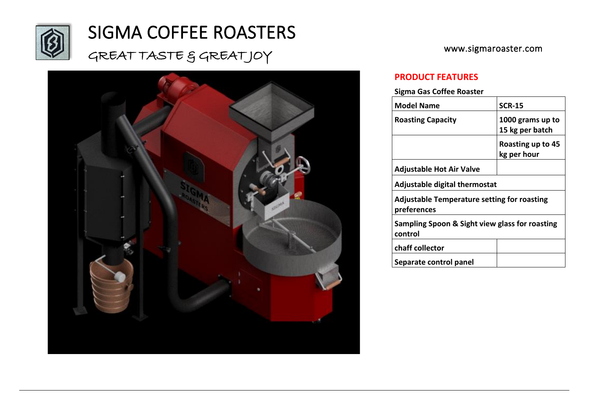

## SIGMA COFFEE ROASTERS

## GREAT TASTE & GREATJOY



www.sigmaroaster.com

### **PRODUCT FEATURES**

#### **Sigma Gas Coffee Roaster**

| <b>Model Name</b>                                                 | <b>SCR-15</b>                       |  |
|-------------------------------------------------------------------|-------------------------------------|--|
| <b>Roasting Capacity</b>                                          | 1000 grams up to<br>15 kg per batch |  |
|                                                                   | Roasting up to 45<br>kg per hour    |  |
| Adjustable Hot Air Valve                                          |                                     |  |
| Adjustable digital thermostat                                     |                                     |  |
| <b>Adjustable Temperature setting for roasting</b><br>preferences |                                     |  |
| Sampling Spoon & Sight view glass for roasting<br>control         |                                     |  |
| chaff collector                                                   |                                     |  |
| Separate control panel                                            |                                     |  |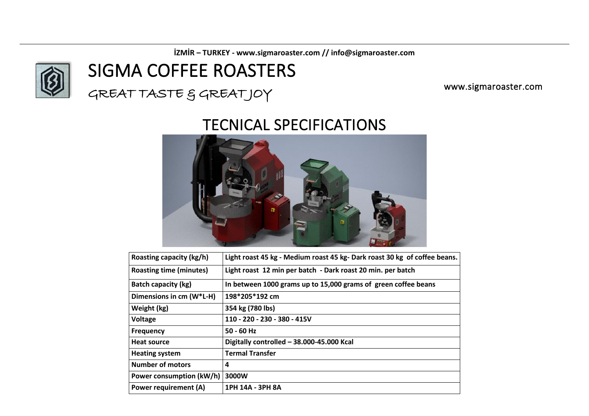**İZMİR – TURKEY - www.sigmaroaster.com // info@sigmaroaster.com**



## SIGMA COFFEE ROASTERS

GREAT TASTE & GREATJOY

www.sigmaroaster.com

## TECNICAL SPECIFICATIONS



| Roasting capacity (kg/h)       | Light roast 45 kg - Medium roast 45 kg-Dark roast 30 kg of coffee beans. |
|--------------------------------|--------------------------------------------------------------------------|
| <b>Roasting time (minutes)</b> | Light roast 12 min per batch - Dark roast 20 min. per batch              |
| <b>Batch capacity (kg)</b>     | In between 1000 grams up to 15,000 grams of green coffee beans           |
| Dimensions in cm (W*L-H)       | 198*205*192 cm                                                           |
| Weight (kg)                    | 354 kg (780 lbs)                                                         |
| Voltage                        | 110 - 220 - 230 - 380 - 415V                                             |
| <b>Frequency</b>               | $50 - 60$ Hz                                                             |
| <b>Heat source</b>             | Digitally controlled - 38.000-45.000 Kcal                                |
| <b>Heating system</b>          | <b>Termal Transfer</b>                                                   |
| <b>Number of motors</b>        | 4                                                                        |
| Power consumption (kW/h)       | 3000W                                                                    |
| <b>Power requirement (A)</b>   | 1PH 14A - 3PH 8A                                                         |